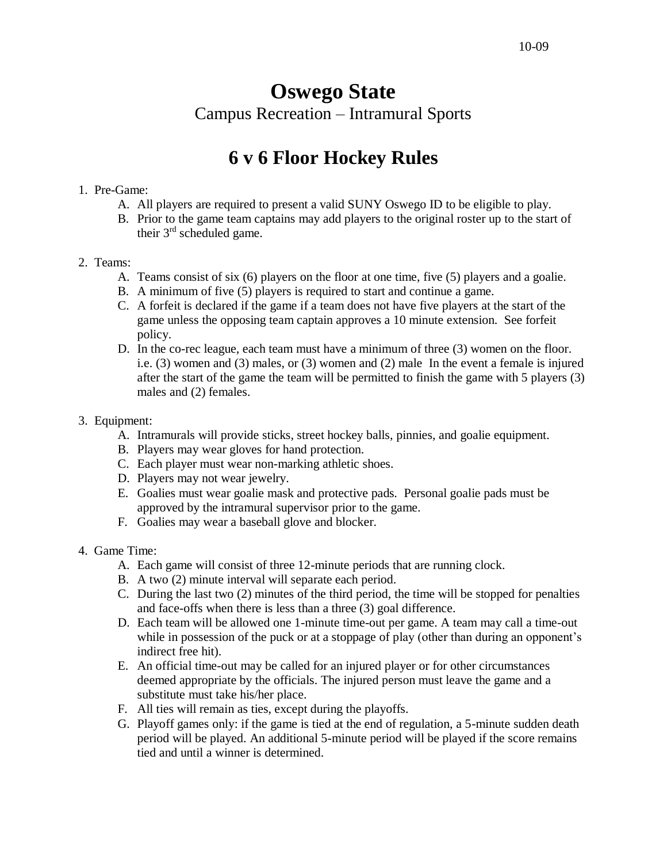# **Oswego State**  Campus Recreation – Intramural Sports

## **6 v 6 Floor Hockey Rules**

#### 1. Pre-Game:

- A. All players are required to present a valid SUNY Oswego ID to be eligible to play.
- B. Prior to the game team captains may add players to the original roster up to the start of their  $3<sup>rd</sup>$  scheduled game.

#### 2. Teams:

- A. Teams consist of six (6) players on the floor at one time, five (5) players and a goalie.
- B. A minimum of five (5) players is required to start and continue a game.
- C. A forfeit is declared if the game if a team does not have five players at the start of the game unless the opposing team captain approves a 10 minute extension. See forfeit policy.
- D. In the co-rec league, each team must have a minimum of three (3) women on the floor. i.e. (3) women and (3) males, or (3) women and (2) male In the event a female is injured after the start of the game the team will be permitted to finish the game with 5 players (3) males and (2) females.
- 3. Equipment:
	- A. Intramurals will provide sticks, street hockey balls, pinnies, and goalie equipment.
	- B. Players may wear gloves for hand protection.
	- C. Each player must wear non-marking athletic shoes.
	- D. Players may not wear jewelry.
	- E. Goalies must wear goalie mask and protective pads. Personal goalie pads must be approved by the intramural supervisor prior to the game.
	- F. Goalies may wear a baseball glove and blocker.
- 4. Game Time:
	- A. Each game will consist of three 12-minute periods that are running clock.
	- B. A two (2) minute interval will separate each period.
	- C. During the last two (2) minutes of the third period, the time will be stopped for penalties and face-offs when there is less than a three (3) goal difference.
	- D. Each team will be allowed one 1-minute time-out per game. A team may call a time-out while in possession of the puck or at a stoppage of play (other than during an opponent's indirect free hit).
	- E. An official time-out may be called for an injured player or for other circumstances deemed appropriate by the officials. The injured person must leave the game and a substitute must take his/her place.
	- F. All ties will remain as ties, except during the playoffs.
	- G. Playoff games only: if the game is tied at the end of regulation, a 5-minute sudden death period will be played. An additional 5-minute period will be played if the score remains tied and until a winner is determined.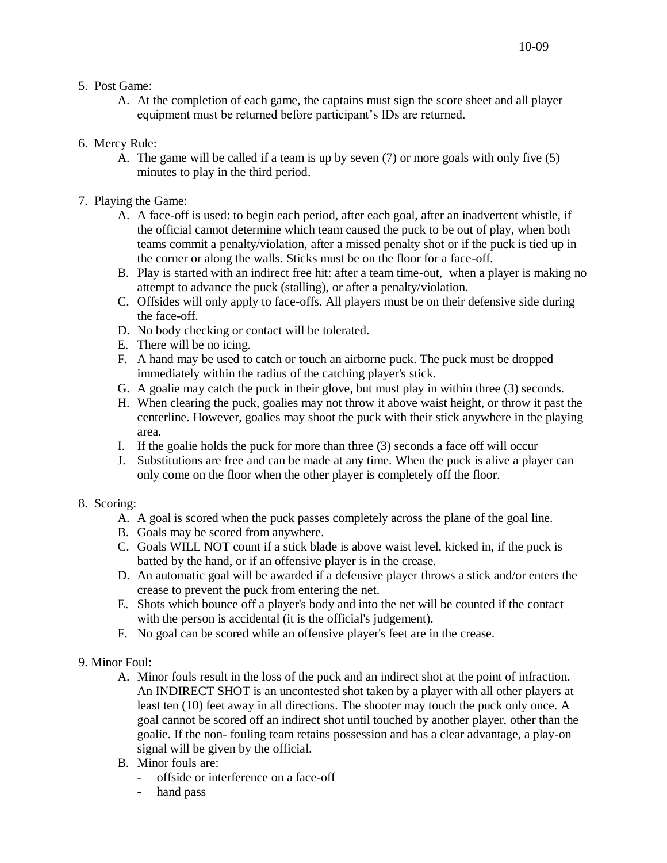- 5. Post Game:
	- A. At the completion of each game, the captains must sign the score sheet and all player equipment must be returned before participant's IDs are returned.
- 6. Mercy Rule:
	- A. The game will be called if a team is up by seven (7) or more goals with only five (5) minutes to play in the third period.
- 7. Playing the Game:
	- A. A face-off is used: to begin each period, after each goal, after an inadvertent whistle, if the official cannot determine which team caused the puck to be out of play, when both teams commit a penalty/violation, after a missed penalty shot or if the puck is tied up in the corner or along the walls. Sticks must be on the floor for a face-off.
	- B. Play is started with an indirect free hit: after a team time-out, when a player is making no attempt to advance the puck (stalling), or after a penalty/violation.
	- C. Offsides will only apply to face-offs. All players must be on their defensive side during the face-off.
	- D. No body checking or contact will be tolerated.
	- E. There will be no icing.
	- F. A hand may be used to catch or touch an airborne puck. The puck must be dropped immediately within the radius of the catching player's stick.
	- G. A goalie may catch the puck in their glove, but must play in within three (3) seconds.
	- H. When clearing the puck, goalies may not throw it above waist height, or throw it past the centerline. However, goalies may shoot the puck with their stick anywhere in the playing area.
	- I. If the goalie holds the puck for more than three (3) seconds a face off will occur
	- J. Substitutions are free and can be made at any time. When the puck is alive a player can only come on the floor when the other player is completely off the floor.

### 8. Scoring:

- A. A goal is scored when the puck passes completely across the plane of the goal line.
- B. Goals may be scored from anywhere.
- C. Goals WILL NOT count if a stick blade is above waist level, kicked in, if the puck is batted by the hand, or if an offensive player is in the crease.
- D. An automatic goal will be awarded if a defensive player throws a stick and/or enters the crease to prevent the puck from entering the net.
- E. Shots which bounce off a player's body and into the net will be counted if the contact with the person is accidental (it is the official's judgement).
- F. No goal can be scored while an offensive player's feet are in the crease.
- 9. Minor Foul:
	- A. Minor fouls result in the loss of the puck and an indirect shot at the point of infraction. An INDIRECT SHOT is an uncontested shot taken by a player with all other players at least ten (10) feet away in all directions. The shooter may touch the puck only once. A goal cannot be scored off an indirect shot until touched by another player, other than the goalie. If the non- fouling team retains possession and has a clear advantage, a play-on signal will be given by the official.
	- B. Minor fouls are:
		- offside or interference on a face-off
		- hand pass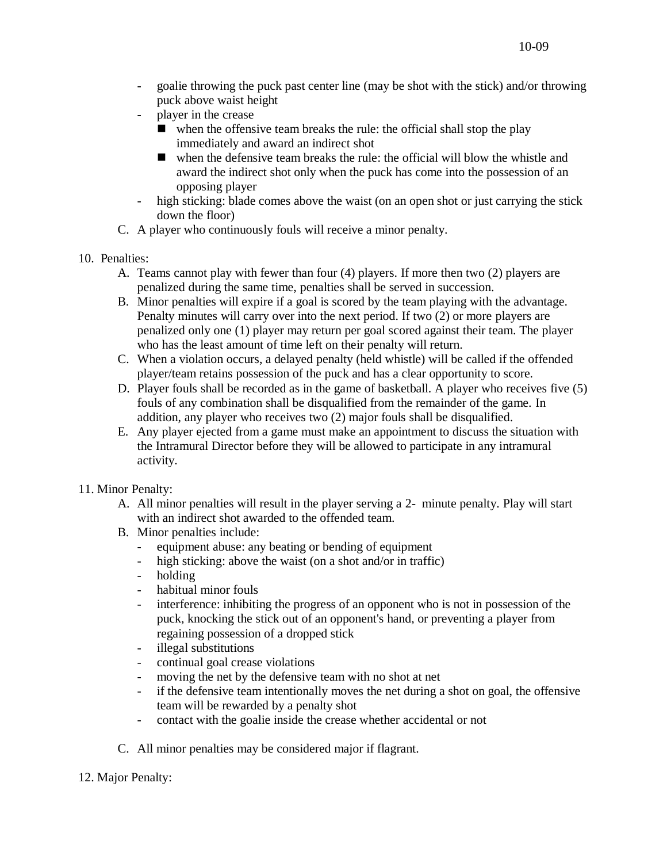- goalie throwing the puck past center line (may be shot with the stick) and/or throwing puck above waist height
- player in the crease
	- when the offensive team breaks the rule: the official shall stop the play immediately and award an indirect shot
	- when the defensive team breaks the rule: the official will blow the whistle and award the indirect shot only when the puck has come into the possession of an opposing player
- high sticking: blade comes above the waist (on an open shot or just carrying the stick down the floor)
- C. A player who continuously fouls will receive a minor penalty.
- 10. Penalties:
	- A. Teams cannot play with fewer than four (4) players. If more then two (2) players are penalized during the same time, penalties shall be served in succession.
	- B. Minor penalties will expire if a goal is scored by the team playing with the advantage. Penalty minutes will carry over into the next period. If two (2) or more players are penalized only one (1) player may return per goal scored against their team. The player who has the least amount of time left on their penalty will return.
	- C. When a violation occurs, a delayed penalty (held whistle) will be called if the offended player/team retains possession of the puck and has a clear opportunity to score.
	- D. Player fouls shall be recorded as in the game of basketball. A player who receives five (5) fouls of any combination shall be disqualified from the remainder of the game. In addition, any player who receives two (2) major fouls shall be disqualified.
	- E. Any player ejected from a game must make an appointment to discuss the situation with the Intramural Director before they will be allowed to participate in any intramural activity.
- 11. Minor Penalty:
	- A. All minor penalties will result in the player serving a 2- minute penalty. Play will start with an indirect shot awarded to the offended team.
	- B. Minor penalties include:
		- equipment abuse: any beating or bending of equipment
		- high sticking: above the waist (on a shot and/or in traffic)
		- holding
		- habitual minor fouls
		- interference: inhibiting the progress of an opponent who is not in possession of the puck, knocking the stick out of an opponent's hand, or preventing a player from regaining possession of a dropped stick
		- illegal substitutions
		- continual goal crease violations
		- moving the net by the defensive team with no shot at net
		- if the defensive team intentionally moves the net during a shot on goal, the offensive team will be rewarded by a penalty shot
		- contact with the goalie inside the crease whether accidental or not
	- C. All minor penalties may be considered major if flagrant.
- 12. Major Penalty: